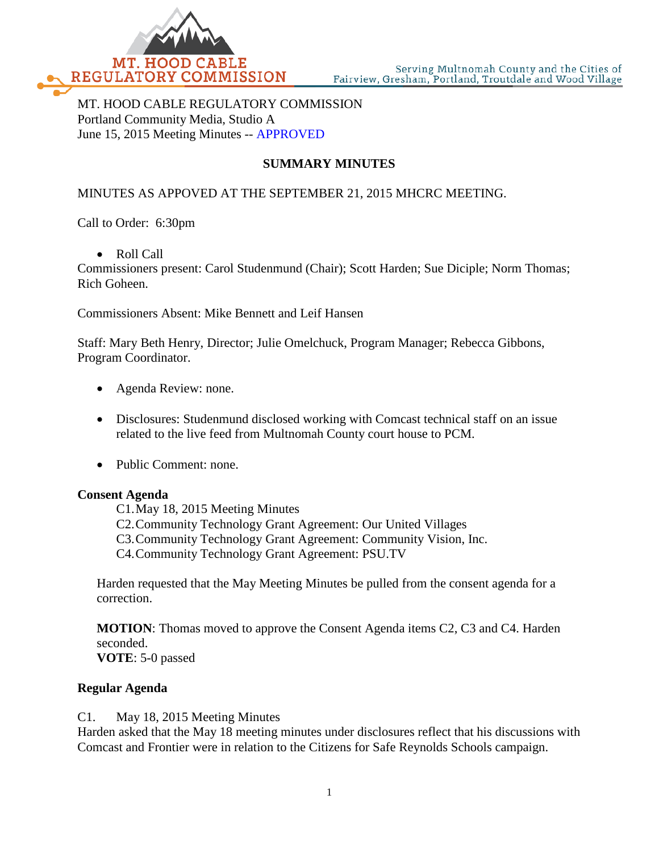

MT. HOOD CABLE REGULATORY COMMISSION Portland Community Media, Studio A June 15, 2015 Meeting Minutes -- APPROVED

# **SUMMARY MINUTES**

## MINUTES AS APPOVED AT THE SEPTEMBER 21, 2015 MHCRC MEETING.

Call to Order: 6:30pm

• Roll Call

Commissioners present: Carol Studenmund (Chair); Scott Harden; Sue Diciple; Norm Thomas; Rich Goheen.

Commissioners Absent: Mike Bennett and Leif Hansen

Staff: Mary Beth Henry, Director; Julie Omelchuck, Program Manager; Rebecca Gibbons, Program Coordinator.

- Agenda Review: none.
- Disclosures: Studenmund disclosed working with Comcast technical staff on an issue related to the live feed from Multnomah County court house to PCM.
- Public Comment: none.

#### **Consent Agenda**

C1.May 18, 2015 Meeting Minutes C2.Community Technology Grant Agreement: Our United Villages C3.Community Technology Grant Agreement: Community Vision, Inc. C4.Community Technology Grant Agreement: PSU.TV

Harden requested that the May Meeting Minutes be pulled from the consent agenda for a correction.

**MOTION**: Thomas moved to approve the Consent Agenda items C2, C3 and C4. Harden seconded.

**VOTE**: 5-0 passed

### **Regular Agenda**

C1. May 18, 2015 Meeting Minutes

Harden asked that the May 18 meeting minutes under disclosures reflect that his discussions with Comcast and Frontier were in relation to the Citizens for Safe Reynolds Schools campaign.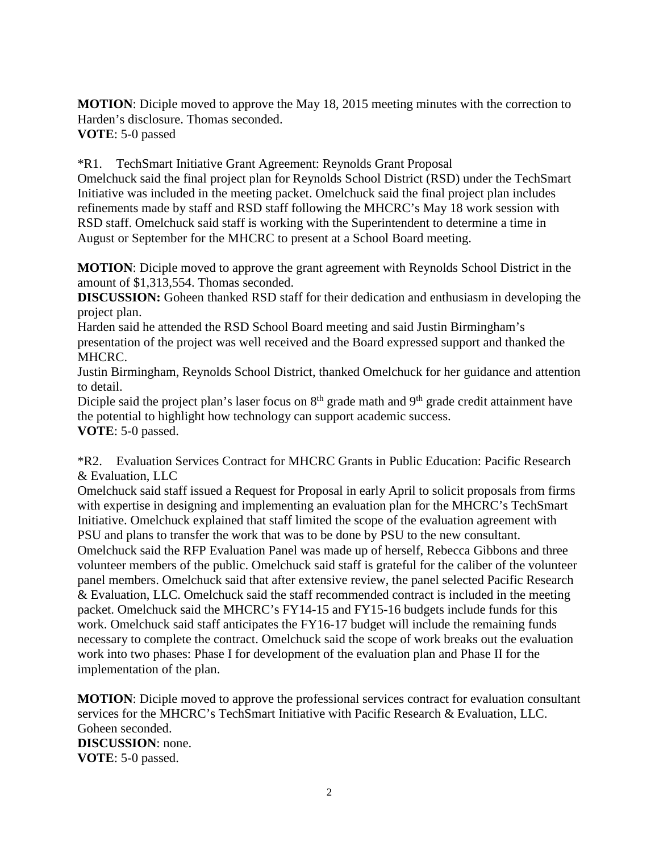**MOTION**: Diciple moved to approve the May 18, 2015 meeting minutes with the correction to Harden's disclosure. Thomas seconded. **VOTE**: 5-0 passed

\*R1. TechSmart Initiative Grant Agreement: Reynolds Grant Proposal Omelchuck said the final project plan for Reynolds School District (RSD) under the TechSmart Initiative was included in the meeting packet. Omelchuck said the final project plan includes refinements made by staff and RSD staff following the MHCRC's May 18 work session with RSD staff. Omelchuck said staff is working with the Superintendent to determine a time in August or September for the MHCRC to present at a School Board meeting.

**MOTION**: Diciple moved to approve the grant agreement with Reynolds School District in the amount of \$1,313,554. Thomas seconded.

**DISCUSSION:** Goheen thanked RSD staff for their dedication and enthusiasm in developing the project plan.

Harden said he attended the RSD School Board meeting and said Justin Birmingham's presentation of the project was well received and the Board expressed support and thanked the MHCRC.

Justin Birmingham, Reynolds School District, thanked Omelchuck for her guidance and attention to detail.

Diciple said the project plan's laser focus on  $8<sup>th</sup>$  grade math and  $9<sup>th</sup>$  grade credit attainment have the potential to highlight how technology can support academic success. **VOTE**: 5-0 passed.

\*R2. Evaluation Services Contract for MHCRC Grants in Public Education: Pacific Research & Evaluation, LLC

Omelchuck said staff issued a Request for Proposal in early April to solicit proposals from firms with expertise in designing and implementing an evaluation plan for the MHCRC's TechSmart Initiative. Omelchuck explained that staff limited the scope of the evaluation agreement with PSU and plans to transfer the work that was to be done by PSU to the new consultant. Omelchuck said the RFP Evaluation Panel was made up of herself, Rebecca Gibbons and three volunteer members of the public. Omelchuck said staff is grateful for the caliber of the volunteer panel members. Omelchuck said that after extensive review, the panel selected Pacific Research & Evaluation, LLC. Omelchuck said the staff recommended contract is included in the meeting packet. Omelchuck said the MHCRC's FY14-15 and FY15-16 budgets include funds for this work. Omelchuck said staff anticipates the FY16-17 budget will include the remaining funds necessary to complete the contract. Omelchuck said the scope of work breaks out the evaluation work into two phases: Phase I for development of the evaluation plan and Phase II for the implementation of the plan.

**MOTION**: Diciple moved to approve the professional services contract for evaluation consultant services for the MHCRC's TechSmart Initiative with Pacific Research & Evaluation, LLC. Goheen seconded. **DISCUSSION**: none. **VOTE**: 5-0 passed.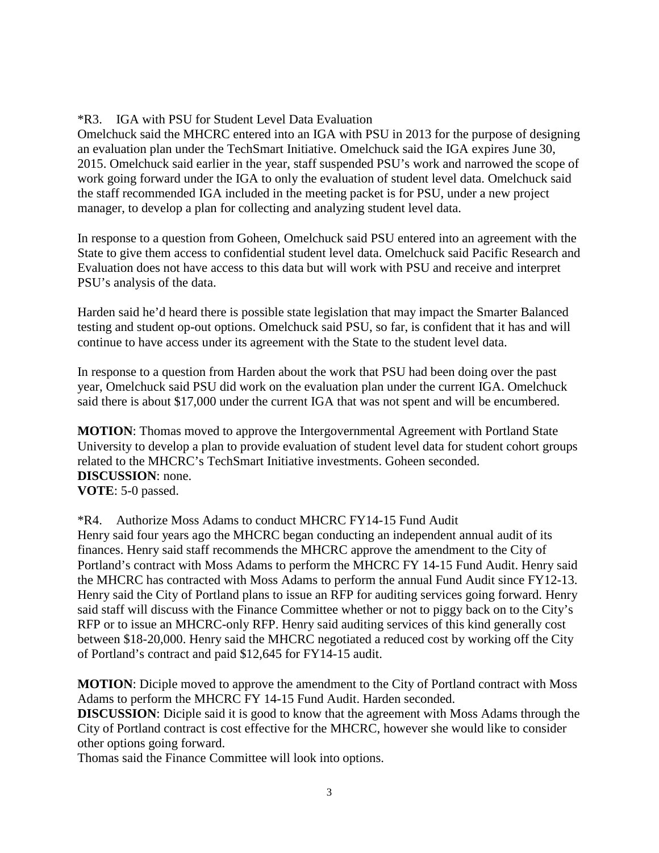## \*R3. IGA with PSU for Student Level Data Evaluation

Omelchuck said the MHCRC entered into an IGA with PSU in 2013 for the purpose of designing an evaluation plan under the TechSmart Initiative. Omelchuck said the IGA expires June 30, 2015. Omelchuck said earlier in the year, staff suspended PSU's work and narrowed the scope of work going forward under the IGA to only the evaluation of student level data. Omelchuck said the staff recommended IGA included in the meeting packet is for PSU, under a new project manager, to develop a plan for collecting and analyzing student level data.

In response to a question from Goheen, Omelchuck said PSU entered into an agreement with the State to give them access to confidential student level data. Omelchuck said Pacific Research and Evaluation does not have access to this data but will work with PSU and receive and interpret PSU's analysis of the data.

Harden said he'd heard there is possible state legislation that may impact the Smarter Balanced testing and student op-out options. Omelchuck said PSU, so far, is confident that it has and will continue to have access under its agreement with the State to the student level data.

In response to a question from Harden about the work that PSU had been doing over the past year, Omelchuck said PSU did work on the evaluation plan under the current IGA. Omelchuck said there is about \$17,000 under the current IGA that was not spent and will be encumbered.

**MOTION**: Thomas moved to approve the Intergovernmental Agreement with Portland State University to develop a plan to provide evaluation of student level data for student cohort groups related to the MHCRC's TechSmart Initiative investments. Goheen seconded. **DISCUSSION**: none. **VOTE**: 5-0 passed.

\*R4. Authorize Moss Adams to conduct MHCRC FY14-15 Fund Audit Henry said four years ago the MHCRC began conducting an independent annual audit of its finances. Henry said staff recommends the MHCRC approve the amendment to the City of Portland's contract with Moss Adams to perform the MHCRC FY 14-15 Fund Audit. Henry said the MHCRC has contracted with Moss Adams to perform the annual Fund Audit since FY12-13. Henry said the City of Portland plans to issue an RFP for auditing services going forward. Henry said staff will discuss with the Finance Committee whether or not to piggy back on to the City's RFP or to issue an MHCRC-only RFP. Henry said auditing services of this kind generally cost between \$18-20,000. Henry said the MHCRC negotiated a reduced cost by working off the City of Portland's contract and paid \$12,645 for FY14-15 audit.

**MOTION**: Diciple moved to approve the amendment to the City of Portland contract with Moss Adams to perform the MHCRC FY 14-15 Fund Audit. Harden seconded.

**DISCUSSION**: Diciple said it is good to know that the agreement with Moss Adams through the City of Portland contract is cost effective for the MHCRC, however she would like to consider other options going forward.

Thomas said the Finance Committee will look into options.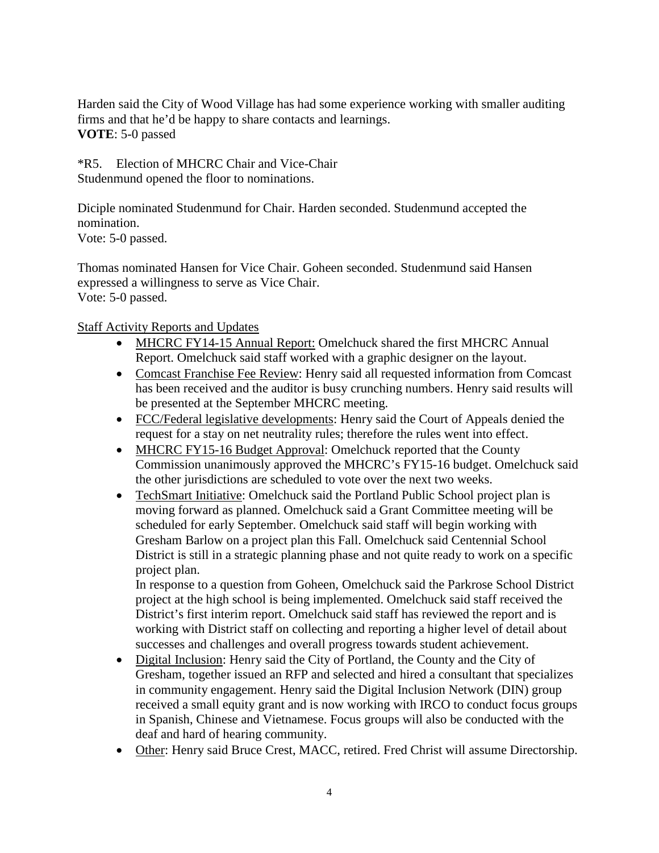Harden said the City of Wood Village has had some experience working with smaller auditing firms and that he'd be happy to share contacts and learnings. **VOTE**: 5-0 passed

\*R5. Election of MHCRC Chair and Vice-Chair Studenmund opened the floor to nominations.

Diciple nominated Studenmund for Chair. Harden seconded. Studenmund accepted the nomination.

Vote: 5-0 passed.

Thomas nominated Hansen for Vice Chair. Goheen seconded. Studenmund said Hansen expressed a willingness to serve as Vice Chair. Vote: 5-0 passed.

Staff Activity Reports and Updates

- MHCRC FY14-15 Annual Report: Omelchuck shared the first MHCRC Annual Report. Omelchuck said staff worked with a graphic designer on the layout.
- Comcast Franchise Fee Review: Henry said all requested information from Comcast has been received and the auditor is busy crunching numbers. Henry said results will be presented at the September MHCRC meeting.
- FCC/Federal legislative developments: Henry said the Court of Appeals denied the request for a stay on net neutrality rules; therefore the rules went into effect.
- MHCRC FY15-16 Budget Approval: Omelchuck reported that the County Commission unanimously approved the MHCRC's FY15-16 budget. Omelchuck said the other jurisdictions are scheduled to vote over the next two weeks.
- TechSmart Initiative: Omelchuck said the Portland Public School project plan is moving forward as planned. Omelchuck said a Grant Committee meeting will be scheduled for early September. Omelchuck said staff will begin working with Gresham Barlow on a project plan this Fall. Omelchuck said Centennial School District is still in a strategic planning phase and not quite ready to work on a specific project plan.

In response to a question from Goheen, Omelchuck said the Parkrose School District project at the high school is being implemented. Omelchuck said staff received the District's first interim report. Omelchuck said staff has reviewed the report and is working with District staff on collecting and reporting a higher level of detail about successes and challenges and overall progress towards student achievement.

- Digital Inclusion: Henry said the City of Portland, the County and the City of Gresham, together issued an RFP and selected and hired a consultant that specializes in community engagement. Henry said the Digital Inclusion Network (DIN) group received a small equity grant and is now working with IRCO to conduct focus groups in Spanish, Chinese and Vietnamese. Focus groups will also be conducted with the deaf and hard of hearing community.
- Other: Henry said Bruce Crest, MACC, retired. Fred Christ will assume Directorship.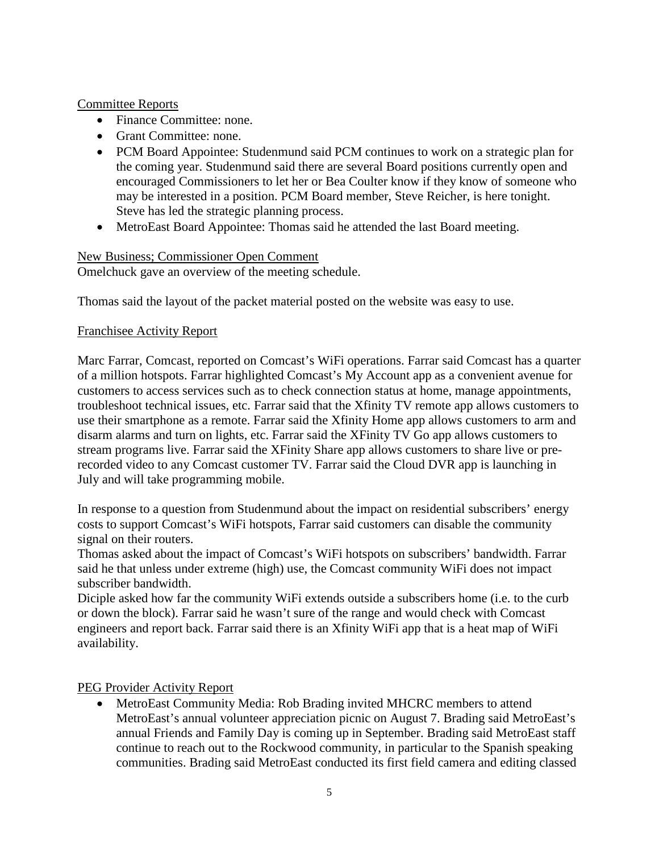## Committee Reports

- Finance Committee: none.
- Grant Committee: none.
- PCM Board Appointee: Studenmund said PCM continues to work on a strategic plan for the coming year. Studenmund said there are several Board positions currently open and encouraged Commissioners to let her or Bea Coulter know if they know of someone who may be interested in a position. PCM Board member, Steve Reicher, is here tonight. Steve has led the strategic planning process.
- MetroEast Board Appointee: Thomas said he attended the last Board meeting.

#### New Business; Commissioner Open Comment

Omelchuck gave an overview of the meeting schedule.

Thomas said the layout of the packet material posted on the website was easy to use.

### Franchisee Activity Report

Marc Farrar, Comcast, reported on Comcast's WiFi operations. Farrar said Comcast has a quarter of a million hotspots. Farrar highlighted Comcast's My Account app as a convenient avenue for customers to access services such as to check connection status at home, manage appointments, troubleshoot technical issues, etc. Farrar said that the Xfinity TV remote app allows customers to use their smartphone as a remote. Farrar said the Xfinity Home app allows customers to arm and disarm alarms and turn on lights, etc. Farrar said the XFinity TV Go app allows customers to stream programs live. Farrar said the XFinity Share app allows customers to share live or prerecorded video to any Comcast customer TV. Farrar said the Cloud DVR app is launching in July and will take programming mobile.

In response to a question from Studenmund about the impact on residential subscribers' energy costs to support Comcast's WiFi hotspots, Farrar said customers can disable the community signal on their routers.

Thomas asked about the impact of Comcast's WiFi hotspots on subscribers' bandwidth. Farrar said he that unless under extreme (high) use, the Comcast community WiFi does not impact subscriber bandwidth.

Diciple asked how far the community WiFi extends outside a subscribers home (i.e. to the curb or down the block). Farrar said he wasn't sure of the range and would check with Comcast engineers and report back. Farrar said there is an Xfinity WiFi app that is a heat map of WiFi availability.

# PEG Provider Activity Report

• MetroEast Community Media: Rob Brading invited MHCRC members to attend MetroEast's annual volunteer appreciation picnic on August 7. Brading said MetroEast's annual Friends and Family Day is coming up in September. Brading said MetroEast staff continue to reach out to the Rockwood community, in particular to the Spanish speaking communities. Brading said MetroEast conducted its first field camera and editing classed